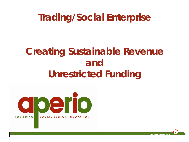## **Trading/Social Enterprise**

## **Creating Sustainable Revenue and Unrestricted Funding**



**www.aperio-group.com**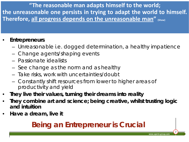**"The reasonable man adapts himself to the world; the unreasonable one persists in trying to adapt the world to himself. Therefore, all progress depends on the unreasonable man" (Shaw)**

#### • **Entrepreneurs**

- Unreasonable i.e. dogged determination, a healthy impatience
- Change agents/shaping events
- Passionate idealists
- See change as the norm and as healthy
- Take risks, work with uncertainties/doubt
- Constantly shift resources from lower to higher areas of productivity and yield
- **They live their values, turning their dreams into reality**
- **They combine art and science; being creative, whilst trusting logic and intuition**
- **Have a dream, live it**

### **Being an Entrepreneur is Crucial**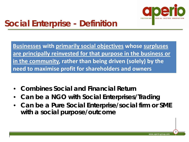

### **Social Enterprise - Definition**

**Businesses with primarily social objectives whose surpluses are principally reinvested for that purpose in the business or in the community, rather than being driven (solely) by the need to maximise profit for shareholders and owners** 

- **Combines Social and Financial Return**
- **Can be a NGO with Social Enterprises/Trading**
- **Can be a Pure Social Enterprise/social firm or SME with a social purpose/outcome**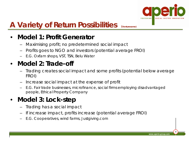

### A Variety of Return Possibilities (Venturesome)

#### • **Model 1: Profit Generator**

- Maximising profit; no predetermined social impact
- Profits goes to NGO and investors (potential average FROI)
- E.G. Oxfam shops, VST, TSN, Belu Water

#### • **Model 2: Trade-off**

- Trading creates social impact and some profits (potential below average FROI)
- Increase social impact at the expense of profit
- E.G. Fair trade businesses, microfinance, social firms employing disadvantaged people, Ethical Property Company

#### • **Model 3: Lock-step**

- Trading has a social impact
- If increase impact, profits increase (potential average FROI)
- E.G. Cooperatives, wind farms, Justgiving.com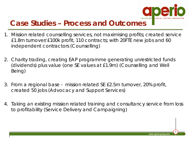

#### **Case Studies – Process and Outcomes**

- 1. Mission related counselling services, not maximising profits; created service £1.8m turnover/£100k profit, 110 contracts; with 20FTE new jobs and 60 independent contractors (Counselling)
- 2. Charity trading, creating EAP programme generating unrestricted funds (dividends) plus value (one SE values at £1.9m) (Counselling and Well Being)
- 3. From a regional base mission related SE £2.5m turnover, 20% profit, created 50 jobs (Advocacy and Support Services)
- 4. Taking an existing mission related training and consultancy service from loss to profitability (Service Delivery and Campaigning)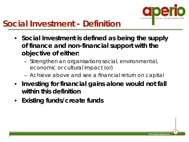

### **Social Investment - Definition**

- **Social Investment is defined as being the supply of finance and non-financial support with the objective of either:**
	- Strengthen an organisations social, environmental, economic or cultural impact (or)
	- Achieve above and see a financial return on capital
- **Investing for financial gains alone would not fall within this definition**
- **Existing funds/create funds**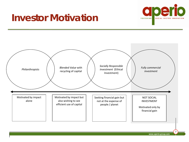

## **Investor Motivation**

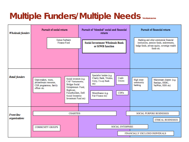### **Multiple Funders/Multiple Needs** venturesome

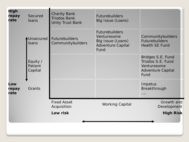| <b>High</b><br>repay<br>rate | Secured<br>loans               | <b>Charity Bank</b><br><b>Triodos Bank</b><br><b>Unity Trust Bank</b> | <b>Futurebuilders</b><br>Big Issue (Loans)                                                    |                                                                                           |
|------------------------------|--------------------------------|-----------------------------------------------------------------------|-----------------------------------------------------------------------------------------------|-------------------------------------------------------------------------------------------|
|                              | Unsecured<br>loans             | <b>Futurebuilders</b><br>Communitybuilders                            | <b>Futurebuilders</b><br>Venturesome<br>Big Issue (Loans)<br><b>Adventure Capital</b><br>Fund | Communitybuilders<br><b>Futurebuilders</b><br><b>Health SE Fund</b>                       |
|                              | Equity /<br>Patient<br>Capital |                                                                       |                                                                                               | Bridges S.E. Fund<br>Triodos S.E. Fund<br>Venturesome<br><b>Adventure Capital</b><br>Fund |
| Low<br>repay<br>rate         | Grants                         |                                                                       |                                                                                               | Impetus<br>Breakthrough<br>.                                                              |
|                              |                                | <b>Fixed Asset</b><br><b>Working Capital</b><br>Acquisition           |                                                                                               | Growth and<br>Development                                                                 |
|                              |                                | Low risk                                                              |                                                                                               | <b>High Risk</b>                                                                          |
|                              |                                |                                                                       |                                                                                               |                                                                                           |
|                              |                                |                                                                       |                                                                                               |                                                                                           |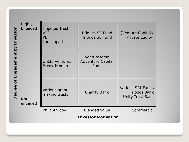| nvestor<br>$\overline{\mathsf{x}}$              | <b>Highly</b><br>Engaged | <b>Impetus Trust</b><br><b>VPF</b><br><b>PEF</b><br>Launchpad | <b>Bridges SE Fund</b><br><b>Triodos SE Fund</b> | [Venture Capital /<br>Private Equity]                                      |  |
|-------------------------------------------------|--------------------------|---------------------------------------------------------------|--------------------------------------------------|----------------------------------------------------------------------------|--|
| Engagement<br>$\overline{\mathbf{b}}$<br>Degree | <b>Not</b><br>engaged    | <b>UnLtd Ventures</b><br><b>Breakthrough</b>                  | Venturesome<br><b>Adventure Capital</b><br>Fund  |                                                                            |  |
|                                                 |                          | Various grant<br>making trusts                                | <b>Charity Bank</b>                              | <b>Various SRI Funds</b><br><b>Triodos Bank</b><br><b>Unity Trust Bank</b> |  |
|                                                 |                          | Philanthropy                                                  | <b>Blended value</b>                             | Commercial                                                                 |  |
|                                                 |                          | <b>Investor Motivation</b>                                    |                                                  |                                                                            |  |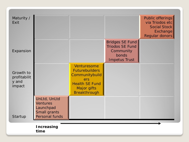| Maturity /<br>Exit                           |                                                                                |                                                                                                                              |                                                                                                | Public offerings<br>via Triodos etc<br><b>Social Stock</b><br>Exchange<br>Regular donors |
|----------------------------------------------|--------------------------------------------------------------------------------|------------------------------------------------------------------------------------------------------------------------------|------------------------------------------------------------------------------------------------|------------------------------------------------------------------------------------------|
| Expansion                                    |                                                                                |                                                                                                                              | <b>Bridges SE Fund</b><br><b>Triodos SE Fund</b><br>Community<br>bonds<br><b>Impetus Trust</b> |                                                                                          |
| Growth to<br>profitabilit<br>y and<br>impact |                                                                                | Venturesome<br><b>Futurebuilders</b><br>Communitybuild<br>ers<br><b>Health SE Fund</b><br>Major gifts<br><b>Breakthrough</b> |                                                                                                |                                                                                          |
| Startup                                      | UnLtd, UnLtd<br><b>Ventures</b><br>Launchpad<br>Small grants<br>Personal funds |                                                                                                                              |                                                                                                |                                                                                          |
|                                              | <b>Increasing</b><br>time                                                      |                                                                                                                              |                                                                                                |                                                                                          |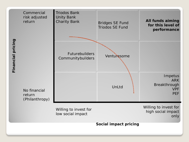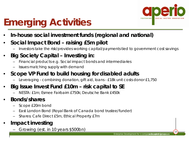

# **Emerging Activities**

- **In-house social investment funds (regional and national)**
- **Social Impact Bond – raising £5m pilot**
	- Investors take the risk/provides working capital/payments tied to government cost savings
- **Big Society Capital – Investing in:**
	- Financial products e.g. Social impact bonds and intermediaries
	- Issues matching supply with demand
- **Scope VP Fund to build housing for disabled adults**
	- Leveraging combining donation, gift aid, loans £18k unit costs donor £1,750

#### • **Big Issue Invest Fund £10m – risk capital to SE**

– NESTA: £1m; Esmee Fairbairn £750k; Deutsche Bank £450k

#### • **Bonds/shares**

- Scope £20m bond
- East London Bond (Royal Bank of Canada bond trustee/funder)
- Shares: Cafe Direct £5m, Ethical Property £7m
- **Impact investing**
	- Growing (est. in 10 years \$500bn)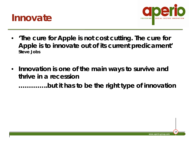



- **'The cure for Apple is not cost cutting. The cure for Apple is to innovate out of its current predicament' Steve Jobs**
- **Innovation is one of the main ways to survive and thrive in a recession …………..but it has to be the right type of innovation**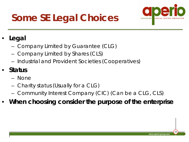# **Some SE Legal Choices**



#### • **Legal**

- Company Limited by Guarantee (CLG)
- Company Limited by Shares (CLS)
- Industrial and Provident Societies (Cooperatives)

#### • **Status**

- None
- Charity status (Usually for a CLG)
- Community Interest Company (CIC) (Can be a CLG, CLS)
- **When choosing consider the purpose of the enterprise**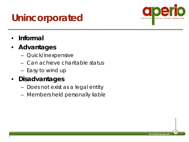## **Unincorporated**



- **Informal**
- **Advantages**
	- Quick/inexpensive
	- Can achieve charitable status
	- Easy to wind up

#### • **Disadvantages**

- Does not exist as a legal entity
- Members held personally liable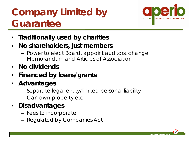# **Company Limited by Guarantee**



- **Traditionally used by charities**
- **No shareholders, just members**
	- Power to elect Board, appoint auditors, change Memorandum and Articles of Association
- **No dividends**
- **Financed by loans/grants**
- **Advantages**
	- Separate legal entity/limited personal liability
	- Can own property etc
- **Disadvantages**
	- Fees to incorporate
	- Regulated by Companies Act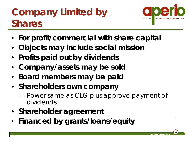# **Company Limited by Shares**



- **For profit/commercial with share capital**
- **Objects may include social mission**
- **Profits paid out by dividends**
- **Company/assets may be sold**
- **Board members may be paid**
- **Shareholders own company**
	- Power same as CLG plus approve payment of dividends
- **Shareholder agreement**
- **Financed by grants/loans/equity**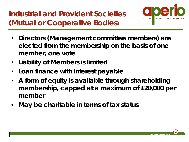**Industrial and Provident Societies (Mutual or Cooperative Bodies)**



- **Directors (Management committee members) are elected from the membership on the basis of one member, one vote**
- **Liability of Members is limited**
- **Loan finance with interest payable**
- **A form of equity is available through shareholding membership, capped at a maximum of £20,000 per member**
- **May be charitable in terms of tax status**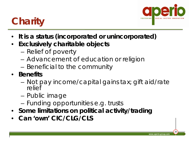

## **Charity**

- **It is a status (incorporated or unincorporated)**
- **Exclusively charitable objects**
	- Relief of poverty
	- Advancement of education or religion
	- Beneficial to the community
- **Benefits**
	- Not pay income/capital gains tax; gift aid/rate relief
	- Public image
	- Funding opportunities e.g. trusts
- **Some limitations on political activity/trading**
- **Can 'own' CIC/CLG/CLS**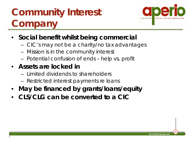# **Community Interest Company**



- **Social benefit whilst being commercial**
	- CIC's may not be a charity/no tax advantages
	- Mission is in the community interest
	- Potential confusion of ends help vs. profit
- **Assets are locked in**
	- Limited dividends to shareholders
	- Restricted interest payments re loans
- **May be financed by grants/loans/equity**
- **CLS/CLG can be converted to a CIC**